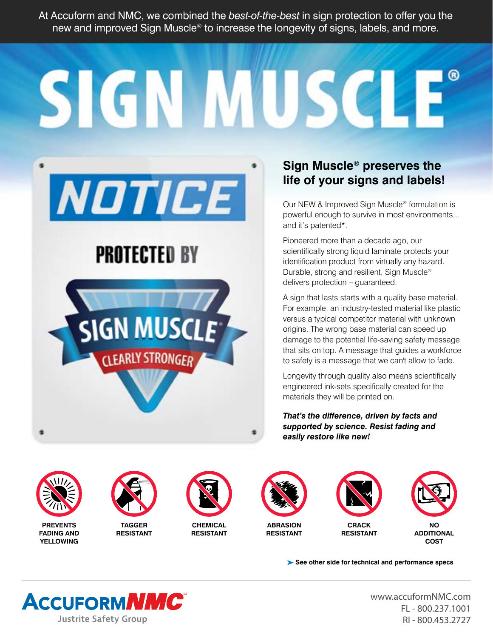At Accuform and NMC, we combined the *best-of-the-best* in sign protection to offer you the new and improved Sign Muscle® to increase the longevity of signs, labels, and more.

SIGN MUSCLE



# **PROTECTED BY**



### **Sign Muscle® preserves the life of your signs and labels!**

Our NEW & Improved Sign Muscle® formulation is powerful enough to survive in most environments... and it's patented\*.

Pioneered more than a decade ago, our scientifically strong liquid laminate protects your identification product from virtually any hazard. Durable, strong and resilient, Sign Muscle® delivers protection – guaranteed.

A sign that lasts starts with a quality base material. For example, an industry-tested material like plastic versus a typical competitor material with unknown origins. The wrong base material can speed up damage to the potential life-saving safety message that sits on top. A message that guides a workforce to safety is a message that we can't allow to fade.

Longevity through quality also means scientifically engineered ink-sets specifically created for the materials they will be printed on.

*That's the difference, driven by facts and supported by science. Resist fading and easily restore like new!*



**PREVENTS FADING AND YELLOWING**



**TAGGER RESISTANT**



**CHEMICAL RESISTANT**



**RESISTANT**



**RESISTANT**



**ADDITIONAL COST**

**See other side for technical and performance specs** 



[www.accuformNMC.com](http://www.accuformNMC.com) FL - 800.237.1001 RI - 800.453.2727